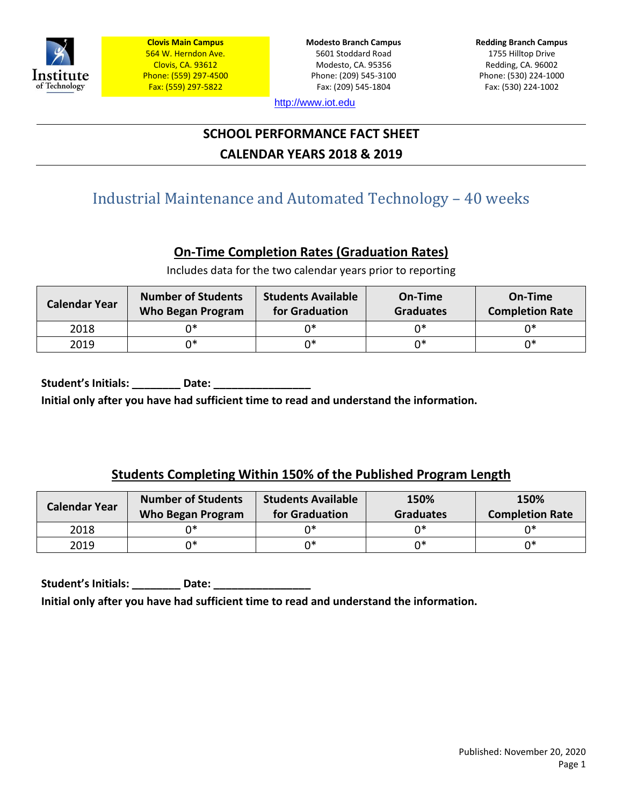

**Modesto Branch Campus** 5601 Stoddard Road Modesto, CA. 95356 Phone: (209) 545-3100 Fax: (209) 545-1804

**Redding Branch Campus** 1755 Hilltop Drive Redding, CA. 96002 Phone: (530) 224-1000 Fax: (530) 224-1002

[http://www.iot.edu](http://www.iot.edu/)

# **SCHOOL PERFORMANCE FACT SHEET CALENDAR YEARS 2018 & 2019**

# Industrial Maintenance and Automated Technology – 40 weeks

# **On-Time Completion Rates (Graduation Rates)**

Includes data for the two calendar years prior to reporting

| <b>Calendar Year</b> | <b>Number of Students</b><br>Who Began Program | <b>Students Available</b><br>On-Time<br>for Graduation<br><b>Graduates</b> |    | On-Time<br><b>Completion Rate</b> |
|----------------------|------------------------------------------------|----------------------------------------------------------------------------|----|-----------------------------------|
| 2018                 | n*                                             |                                                                            | n* | ∩*                                |
| 2019                 | ∩∗                                             | ∩∗                                                                         | n* | n*                                |

Student's Initials: **Date: Initial only after you have had sufficient time to read and understand the information.**

## **Students Completing Within 150% of the Published Program Length**

| <b>Calendar Year</b> | <b>Number of Students</b><br>Who Began Program | <b>Students Available</b><br>for Graduation | 150%<br><b>Graduates</b> | 150%<br><b>Completion Rate</b> |
|----------------------|------------------------------------------------|---------------------------------------------|--------------------------|--------------------------------|
| 2018                 |                                                |                                             | ∩*                       | ∩∗                             |
| 2019                 | ∩∗                                             | ∩∗                                          | n*                       | ∩*                             |

Student's Initials: **Date: Date: Date: Date: Date: Date: Date: Date: Date: Date: Date: Date: Date: Date: Date: Date: Date: Date: Date: Date: Date: Date: Date: Date: Date: D Initial only after you have had sufficient time to read and understand the information.**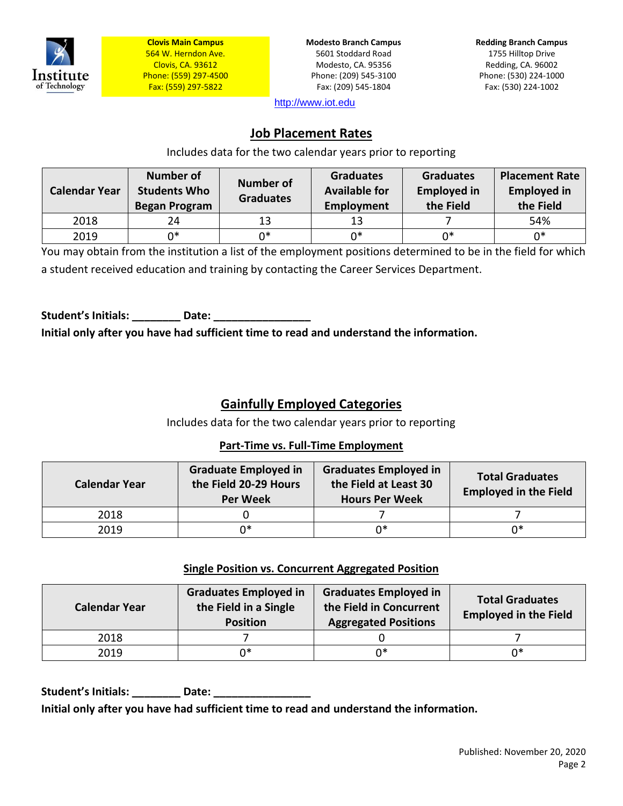

**Modesto Branch Campus** 5601 Stoddard Road Modesto, CA. 95356 Phone: (209) 545-3100 Fax: (209) 545-1804

**Redding Branch Campus** 1755 Hilltop Drive Redding, CA. 96002 Phone: (530) 224-1000 Fax: (530) 224-1002

[http://www.iot.edu](http://www.iot.edu/)

### **Job Placement Rates**

Includes data for the two calendar years prior to reporting

| <b>Calendar Year</b> | <b>Number of</b><br><b>Students Who</b><br><b>Began Program</b> | <b>Number of</b><br><b>Graduates</b> | <b>Graduates</b><br><b>Available for</b><br>Employment | <b>Graduates</b><br><b>Employed in</b><br>the Field | <b>Placement Rate</b><br><b>Employed in</b><br>the Field |
|----------------------|-----------------------------------------------------------------|--------------------------------------|--------------------------------------------------------|-----------------------------------------------------|----------------------------------------------------------|
| 2018                 | 24                                                              | 13                                   | 13                                                     |                                                     | 54%                                                      |
| 2019                 | ∩*                                                              | 0*                                   | ∩∗                                                     | ∩*                                                  | $0*$                                                     |

You may obtain from the institution a list of the employment positions determined to be in the field for which a student received education and training by contacting the Career Services Department.

Student's Initials: **Date:** Date: **Initial only after you have had sufficient time to read and understand the information.**

## **Gainfully Employed Categories**

Includes data for the two calendar years prior to reporting

#### **Part-Time vs. Full-Time Employment**

| <b>Calendar Year</b> | <b>Graduate Employed in</b><br>the Field 20-29 Hours<br><b>Per Week</b> | <b>Graduates Employed in</b><br>the Field at Least 30<br><b>Hours Per Week</b> | <b>Total Graduates</b><br><b>Employed in the Field</b> |
|----------------------|-------------------------------------------------------------------------|--------------------------------------------------------------------------------|--------------------------------------------------------|
| 2018                 |                                                                         |                                                                                |                                                        |
| 2019                 | n*                                                                      | 0*                                                                             | ∩∗                                                     |

#### **Single Position vs. Concurrent Aggregated Position**

| <b>Calendar Year</b> | <b>Graduates Employed in</b><br>the Field in a Single<br><b>Position</b> |    | <b>Total Graduates</b><br><b>Employed in the Field</b> |
|----------------------|--------------------------------------------------------------------------|----|--------------------------------------------------------|
| 2018                 |                                                                          |    |                                                        |
| 2019                 | n*                                                                       | 0* | ∩*                                                     |

Student's Initials: **Example 20 Date: Date: Initial only after you have had sufficient time to read and understand the information.**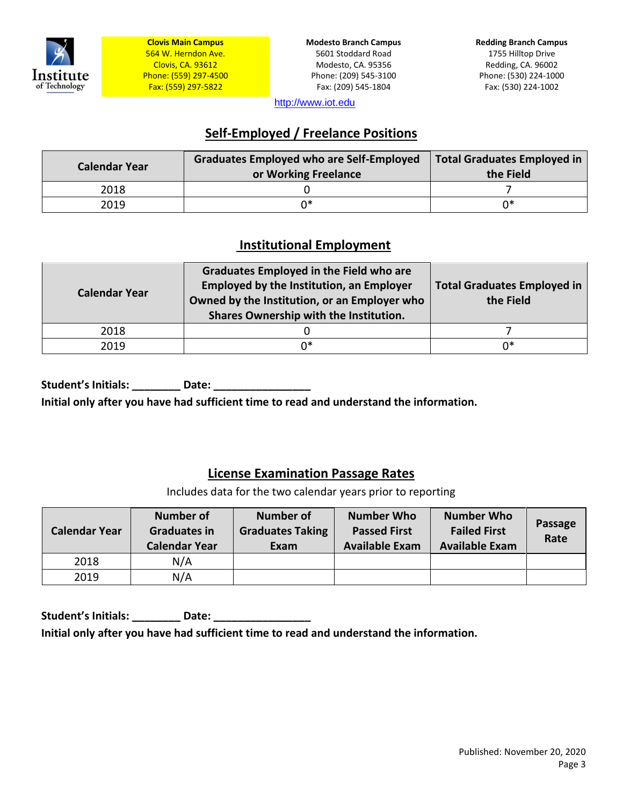

**Modesto Branch Campus** 5601 Stoddard Road Modesto, CA. 95356 Phone: (209) 545-3100 Fax: (209) 545-1804

**Redding Branch Campus** 1755 Hilltop Drive Redding, CA. 96002 Phone: (530) 224-1000 Fax: (530) 224-1002

[http://www.iot.edu](http://www.iot.edu/)

## **Self-Employed / Freelance Positions**

| <b>Calendar Year</b> | <b>Graduates Employed who are Self-Employed</b><br>or Working Freelance | <b>Total Graduates Employed in</b><br>the Field |
|----------------------|-------------------------------------------------------------------------|-------------------------------------------------|
| 2018                 |                                                                         |                                                 |
| 2019                 | ∩*                                                                      | ∩*                                              |

### **Institutional Employment**

| <b>Calendar Year</b> | <b>Graduates Employed in the Field who are</b><br><b>Employed by the Institution, an Employer</b><br>Owned by the Institution, or an Employer who<br>Shares Ownership with the Institution. | <b>Total Graduates Employed in</b><br>the Field |
|----------------------|---------------------------------------------------------------------------------------------------------------------------------------------------------------------------------------------|-------------------------------------------------|
| 2018                 |                                                                                                                                                                                             |                                                 |
| 2019                 | በ*                                                                                                                                                                                          | n*                                              |

**Student's Initials: \_\_\_\_\_\_\_\_ Date: \_\_\_\_\_\_\_\_\_\_\_\_\_\_\_\_** 

**Initial only after you have had sufficient time to read and understand the information.**

### **License Examination Passage Rates**

Includes data for the two calendar years prior to reporting

| <b>Calendar Year</b> | <b>Number of</b><br><b>Graduates in</b><br><b>Calendar Year</b> | <b>Number of</b><br><b>Graduates Taking</b><br>Exam | <b>Number Who</b><br><b>Passed First</b><br><b>Available Exam</b> | <b>Number Who</b><br><b>Failed First</b><br><b>Available Exam</b> | Passage<br>Rate |
|----------------------|-----------------------------------------------------------------|-----------------------------------------------------|-------------------------------------------------------------------|-------------------------------------------------------------------|-----------------|
| 2018                 | N/A                                                             |                                                     |                                                                   |                                                                   |                 |
| 2019                 | N/A                                                             |                                                     |                                                                   |                                                                   |                 |

Student's Initials: **\_\_\_\_\_\_\_\_\_\_** Date: \_\_\_\_ **Initial only after you have had sufficient time to read and understand the information.**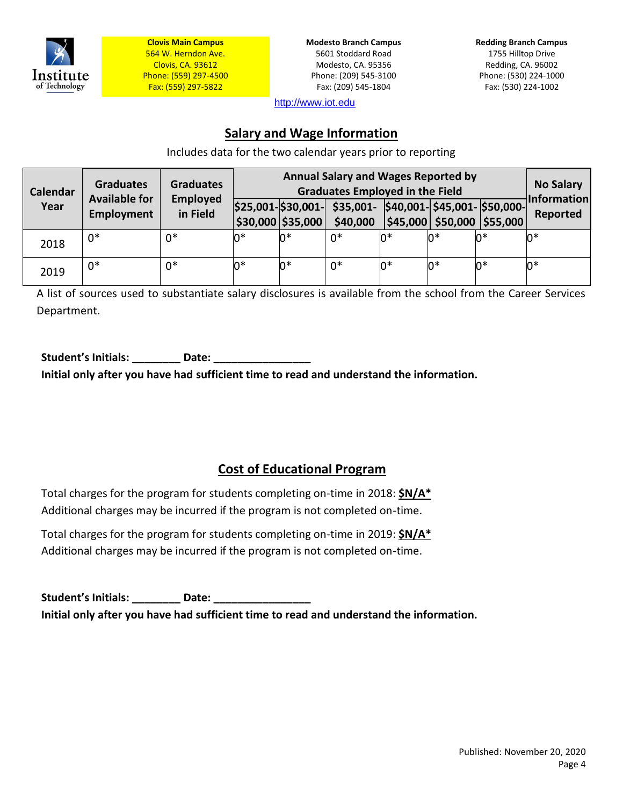

**Modesto Branch Campus** 5601 Stoddard Road Modesto, CA. 95356 Phone: (209) 545-3100 Fax: (209) 545-1804

**Redding Branch Campus** 1755 Hilltop Drive Redding, CA. 96002 Phone: (530) 224-1000 Fax: (530) 224-1002

[http://www.iot.edu](http://www.iot.edu/)

### **Salary and Wage Information**

Includes data for the two calendar years prior to reporting

| <b>Calendar</b> | <b>Graduates</b><br><b>Available for</b> | <b>Graduates</b>     | <b>Annual Salary and Wages Reported by</b><br><b>Graduates Employed in the Field</b> |                                                  |                                                             |    |    | <b>No Salary</b><br><b>Information</b> |          |
|-----------------|------------------------------------------|----------------------|--------------------------------------------------------------------------------------|--------------------------------------------------|-------------------------------------------------------------|----|----|----------------------------------------|----------|
| Year            | <b>Employment</b>                        | Employed<br>in Field |                                                                                      | $ $25,001$ - $$30,001$ -<br>$ $30,000$ $$35,000$ | $$35,001$ - $$40,001$ - $$45,001$ - $$50,000$ -<br>\$40,000 |    |    | \$45,000 \$50,000 \$55,000             | Reported |
| 2018            | $0*$                                     | $0*$                 | 0*                                                                                   | 0*                                               | $0*$                                                        | n* | n* | 0*                                     | n*       |
| 2019            | $0*$                                     | $0*$                 | 0*                                                                                   | $0*$                                             | $0*$                                                        | n* | n* | 0*                                     | n*       |

A list of sources used to substantiate salary disclosures is available from the school from the Career Services Department.

**Student's Initials: \_\_\_\_\_\_\_\_ Date: \_\_\_\_\_\_\_\_\_\_\_\_\_\_\_\_** 

**Initial only after you have had sufficient time to read and understand the information.**

## **Cost of Educational Program**

Total charges for the program for students completing on-time in 2018: **\$N/A\*** Additional charges may be incurred if the program is not completed on-time.

Total charges for the program for students completing on-time in 2019: **\$N/A\*** Additional charges may be incurred if the program is not completed on-time.

Student's Initials: \_\_\_\_\_\_\_\_\_\_ Date: \_\_\_\_\_\_\_\_ **Initial only after you have had sufficient time to read and understand the information.**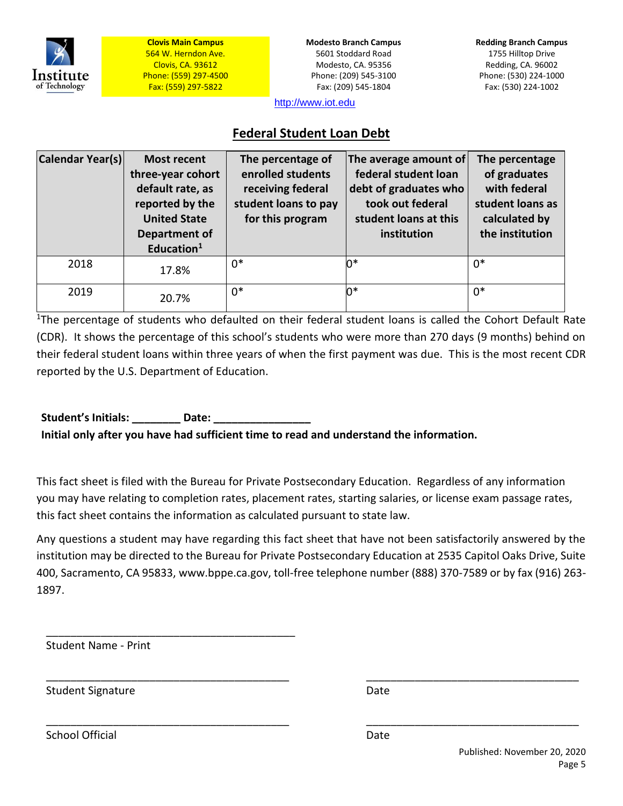

**Modesto Branch Campus** 5601 Stoddard Road Modesto, CA. 95356 Phone: (209) 545-3100 Fax: (209) 545-1804

**Redding Branch Campus** 1755 Hilltop Drive Redding, CA. 96002 Phone: (530) 224-1000 Fax: (530) 224-1002

[http://www.iot.edu](http://www.iot.edu/)

### **Federal Student Loan Debt**

| Calendar Year(s) | <b>Most recent</b><br>three-year cohort<br>default rate, as<br>reported by the<br><b>United State</b><br>Department of<br>Education <sup>1</sup> | The percentage of<br>enrolled students<br>receiving federal<br>student loans to pay<br>for this program | The average amount of<br>federal student loan<br>debt of graduates who<br>took out federal<br>student loans at this<br>institution | The percentage<br>of graduates<br>with federal<br>student loans as<br>calculated by<br>the institution |
|------------------|--------------------------------------------------------------------------------------------------------------------------------------------------|---------------------------------------------------------------------------------------------------------|------------------------------------------------------------------------------------------------------------------------------------|--------------------------------------------------------------------------------------------------------|
| 2018             | 17.8%                                                                                                                                            | $0*$                                                                                                    | 0*                                                                                                                                 | $0*$                                                                                                   |
| 2019             | 20.7%                                                                                                                                            | $0*$                                                                                                    | 0*                                                                                                                                 | $0*$                                                                                                   |

<sup>1</sup>The percentage of students who defaulted on their federal student loans is called the Cohort Default Rate (CDR). It shows the percentage of this school's students who were more than 270 days (9 months) behind on their federal student loans within three years of when the first payment was due. This is the most recent CDR reported by the U.S. Department of Education.

Student's Initials: **Late:** Date: **Initial only after you have had sufficient time to read and understand the information.**

This fact sheet is filed with the Bureau for Private Postsecondary Education. Regardless of any information you may have relating to completion rates, placement rates, starting salaries, or license exam passage rates, this fact sheet contains the information as calculated pursuant to state law.

Any questions a student may have regarding this fact sheet that have not been satisfactorily answered by the institution may be directed to the Bureau for Private Postsecondary Education at 2535 Capitol Oaks Drive, Suite 400, Sacramento, CA 95833[, www.bppe.ca.gov,](http://www.bppe.ca.gov/) toll-free telephone number (888) 370-7589 or by fax (916) 263- 1897.

\_\_\_\_\_\_\_\_\_\_\_\_\_\_\_\_\_\_\_\_\_\_\_\_\_\_\_\_\_\_\_\_\_\_\_\_\_\_\_\_ \_\_\_\_\_\_\_\_\_\_\_\_\_\_\_\_\_\_\_\_\_\_\_\_\_\_\_\_\_\_\_\_\_\_\_

\_\_\_\_\_\_\_\_\_\_\_\_\_\_\_\_\_\_\_\_\_\_\_\_\_\_\_\_\_\_\_\_\_\_\_\_\_\_\_\_ \_\_\_\_\_\_\_\_\_\_\_\_\_\_\_\_\_\_\_\_\_\_\_\_\_\_\_\_\_\_\_\_\_\_\_

Student Name - Print

\_\_\_\_\_\_\_\_\_\_\_\_\_\_\_\_\_\_\_\_\_\_\_\_\_\_\_\_\_\_\_\_\_\_\_\_\_\_\_\_\_

Student Signature Date Date Date

School Official Date Date Date Date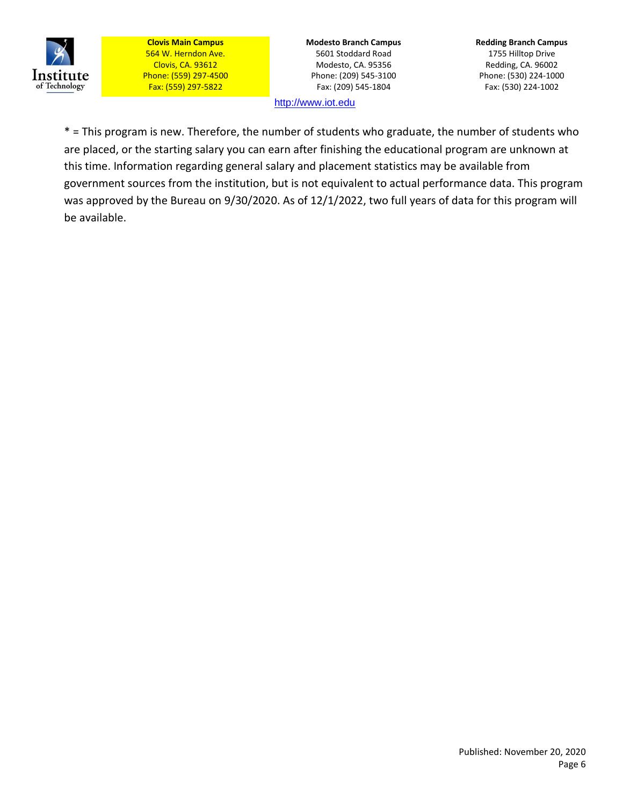

**Modesto Branch Campus** 5601 Stoddard Road Modesto, CA. 95356 Phone: (209) 545-3100 Fax: (209) 545-1804

**Redding Branch Campus** 1755 Hilltop Drive Redding, CA. 96002 Phone: (530) 224-1000 Fax: (530) 224-1002

[http://www.iot.edu](http://www.iot.edu/)

\* = This program is new. Therefore, the number of students who graduate, the number of students who are placed, or the starting salary you can earn after finishing the educational program are unknown at this time. Information regarding general salary and placement statistics may be available from government sources from the institution, but is not equivalent to actual performance data. This program was approved by the Bureau on 9/30/2020. As of 12/1/2022, two full years of data for this program will be available.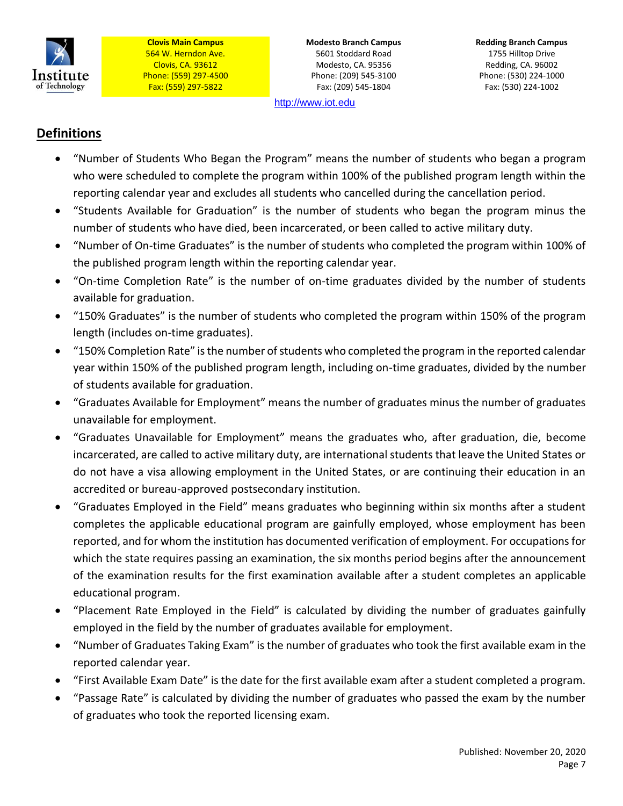

**Modesto Branch Campus** 5601 Stoddard Road Modesto, CA. 95356 Phone: (209) 545-3100 Fax: (209) 545-1804

[http://www.iot.edu](http://www.iot.edu/)

### **Definitions**

- "Number of Students Who Began the Program" means the number of students who began a program who were scheduled to complete the program within 100% of the published program length within the reporting calendar year and excludes all students who cancelled during the cancellation period.
- "Students Available for Graduation" is the number of students who began the program minus the number of students who have died, been incarcerated, or been called to active military duty.
- "Number of On-time Graduates" is the number of students who completed the program within 100% of the published program length within the reporting calendar year.
- "On-time Completion Rate" is the number of on-time graduates divided by the number of students available for graduation.
- "150% Graduates" is the number of students who completed the program within 150% of the program length (includes on-time graduates).
- "150% Completion Rate" is the number of students who completed the program in the reported calendar year within 150% of the published program length, including on-time graduates, divided by the number of students available for graduation.
- "Graduates Available for Employment" means the number of graduates minus the number of graduates unavailable for employment.
- "Graduates Unavailable for Employment" means the graduates who, after graduation, die, become incarcerated, are called to active military duty, are international students that leave the United States or do not have a visa allowing employment in the United States, or are continuing their education in an accredited or bureau-approved postsecondary institution.
- "Graduates Employed in the Field" means graduates who beginning within six months after a student completes the applicable educational program are gainfully employed, whose employment has been reported, and for whom the institution has documented verification of employment. For occupations for which the state requires passing an examination, the six months period begins after the announcement of the examination results for the first examination available after a student completes an applicable educational program.
- "Placement Rate Employed in the Field" is calculated by dividing the number of graduates gainfully employed in the field by the number of graduates available for employment.
- "Number of Graduates Taking Exam" is the number of graduates who took the first available exam in the reported calendar year.
- "First Available Exam Date" is the date for the first available exam after a student completed a program.
- "Passage Rate" is calculated by dividing the number of graduates who passed the exam by the number of graduates who took the reported licensing exam.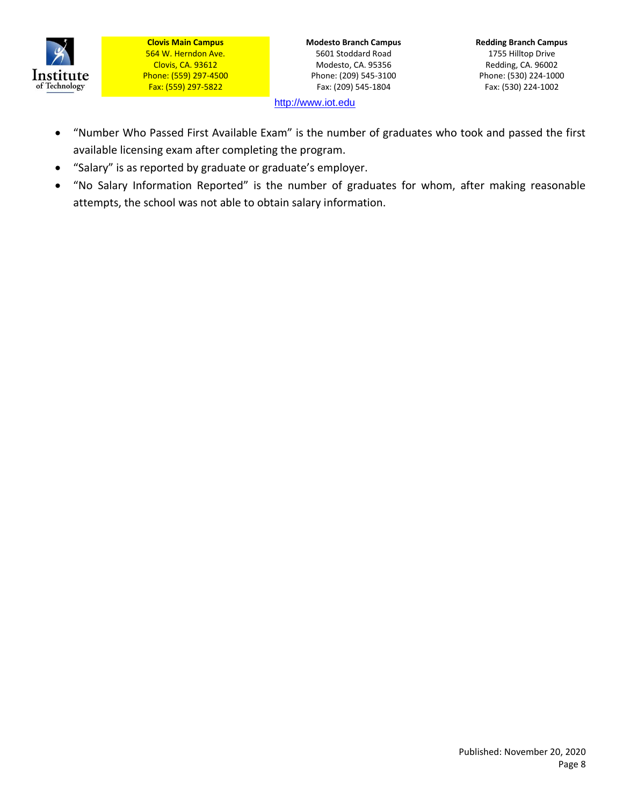

**Modesto Branch Campus** 5601 Stoddard Road Modesto, CA. 95356 Phone: (209) 545-3100 Fax: (209) 545-1804

**Redding Branch Campus** 1755 Hilltop Drive Redding, CA. 96002 Phone: (530) 224-1000 Fax: (530) 224-1002

[http://www.iot.edu](http://www.iot.edu/)

- "Number Who Passed First Available Exam" is the number of graduates who took and passed the first available licensing exam after completing the program.
- "Salary" is as reported by graduate or graduate's employer.
- "No Salary Information Reported" is the number of graduates for whom, after making reasonable attempts, the school was not able to obtain salary information.